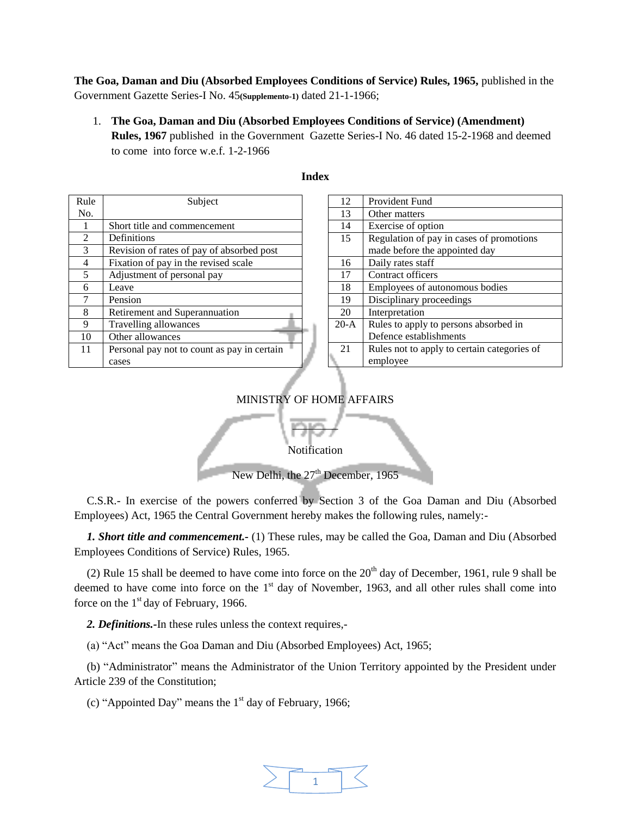**The Goa, Daman and Diu (Absorbed Employees Conditions of Service) Rules, 1965,** published in the Government Gazette Series-I No. 45**(Supplemento-1)** dated 21-1-1966;

1. **The Goa, Daman and Diu (Absorbed Employees Conditions of Service) (Amendment) Rules, 1967** published in the Government Gazette Series-I No. 46 dated 15-2-1968 and deemed to come into force w.e.f. 1-2-1966

| Rule          | Subject                                     |
|---------------|---------------------------------------------|
| No.           |                                             |
|               | Short title and commencement                |
| $\mathcal{L}$ | Definitions                                 |
| 3             | Revision of rates of pay of absorbed post   |
| 4             | Fixation of pay in the revised scale        |
| 5             | Adjustment of personal pay                  |
| 6             | Leave                                       |
|               | Pension                                     |
| 8             | Retirement and Superannuation               |
| 9             | Travelling allowances                       |
| 10            | Other allowances                            |
| 11            | Personal pay not to count as pay in certain |
|               | cases                                       |

## **Index**

| 12     | <b>Provident Fund</b>                       |
|--------|---------------------------------------------|
| 13     | Other matters                               |
| 14     | Exercise of option                          |
| 15     | Regulation of pay in cases of promotions    |
|        | made before the appointed day               |
| 16     | Daily rates staff                           |
| 17     | Contract officers                           |
| 18     | Employees of autonomous bodies              |
| 19     | Disciplinary proceedings                    |
| 20     | Interpretation                              |
| $20-A$ | Rules to apply to persons absorbed in       |
|        | Defence establishments                      |
| 21     | Rules not to apply to certain categories of |
|        | employee                                    |
|        |                                             |

## MINISTRY OF HOME AFFAIRS

Notification

 $\sim$ 

New Delhi, the  $27<sup>th</sup>$  December, 1965

C.S.R.- In exercise of the powers conferred by Section 3 of the Goa Daman and Diu (Absorbed Employees) Act, 1965 the Central Government hereby makes the following rules, namely:-

*1. Short title and commencement.-* (1) These rules, may be called the Goa, Daman and Diu (Absorbed Employees Conditions of Service) Rules, 1965.

(2) Rule 15 shall be deemed to have come into force on the  $20<sup>th</sup>$  day of December, 1961, rule 9 shall be deemed to have come into force on the  $1<sup>st</sup>$  day of November, 1963, and all other rules shall come into force on the  $1<sup>st</sup>$  day of February, 1966.

*2. Definitions.-*In these rules unless the context requires,-

(a) "Act" means the Goa Daman and Diu (Absorbed Employees) Act, 1965;

(b) "Administrator" means the Administrator of the Union Territory appointed by the President under Article 239 of the Constitution;

(c) "Appointed Day" means the 1st day of February, 1966;

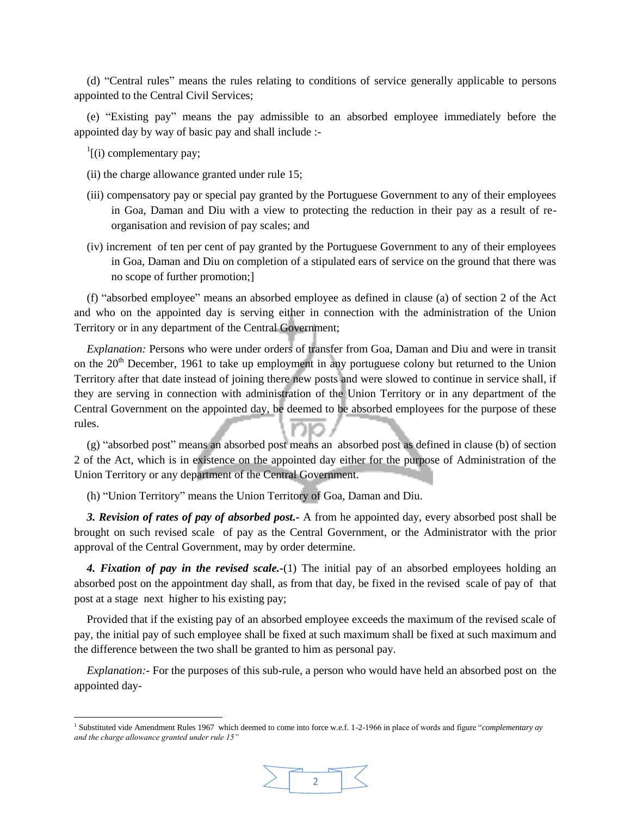(d) "Central rules" means the rules relating to conditions of service generally applicable to persons appointed to the Central Civil Services;

(e) "Existing pay" means the pay admissible to an absorbed employee immediately before the appointed day by way of basic pay and shall include :-

 $\frac{1}{1}$ [(i) complementary pay;

l

- (ii) the charge allowance granted under rule 15;
- (iii) compensatory pay or special pay granted by the Portuguese Government to any of their employees in Goa, Daman and Diu with a view to protecting the reduction in their pay as a result of reorganisation and revision of pay scales; and
- (iv) increment of ten per cent of pay granted by the Portuguese Government to any of their employees in Goa, Daman and Diu on completion of a stipulated ears of service on the ground that there was no scope of further promotion;]

(f) "absorbed employee" means an absorbed employee as defined in clause (a) of section 2 of the Act and who on the appointed day is serving either in connection with the administration of the Union Territory or in any department of the Central Government;

*Explanation:* Persons who were under orders of transfer from Goa, Daman and Diu and were in transit on the 20<sup>th</sup> December, 1961 to take up employment in any portuguese colony but returned to the Union Territory after that date instead of joining there new posts and were slowed to continue in service shall, if they are serving in connection with administration of the Union Territory or in any department of the Central Government on the appointed day, be deemed to be absorbed employees for the purpose of these rules.

(g) "absorbed post" means an absorbed post means an absorbed post as defined in clause (b) of section 2 of the Act, which is in existence on the appointed day either for the purpose of Administration of the Union Territory or any department of the Central Government.

(h) "Union Territory" means the Union Territory of Goa, Daman and Diu.

*3. Revision of rates of pay of absorbed post.-* A from he appointed day, every absorbed post shall be brought on such revised scale of pay as the Central Government, or the Administrator with the prior approval of the Central Government, may by order determine.

*4. Fixation of pay in the revised scale.-*(1) The initial pay of an absorbed employees holding an absorbed post on the appointment day shall, as from that day, be fixed in the revised scale of pay of that post at a stage next higher to his existing pay;

Provided that if the existing pay of an absorbed employee exceeds the maximum of the revised scale of pay, the initial pay of such employee shall be fixed at such maximum shall be fixed at such maximum and the difference between the two shall be granted to him as personal pay.

*Explanation:-* For the purposes of this sub-rule, a person who would have held an absorbed post on the appointed day-

<sup>1</sup> Substituted vide Amendment Rules 1967 which deemed to come into force w.e.f. 1-2-1966 in place of words and figure "*complementary ay and the charge allowance granted under rule 15"*

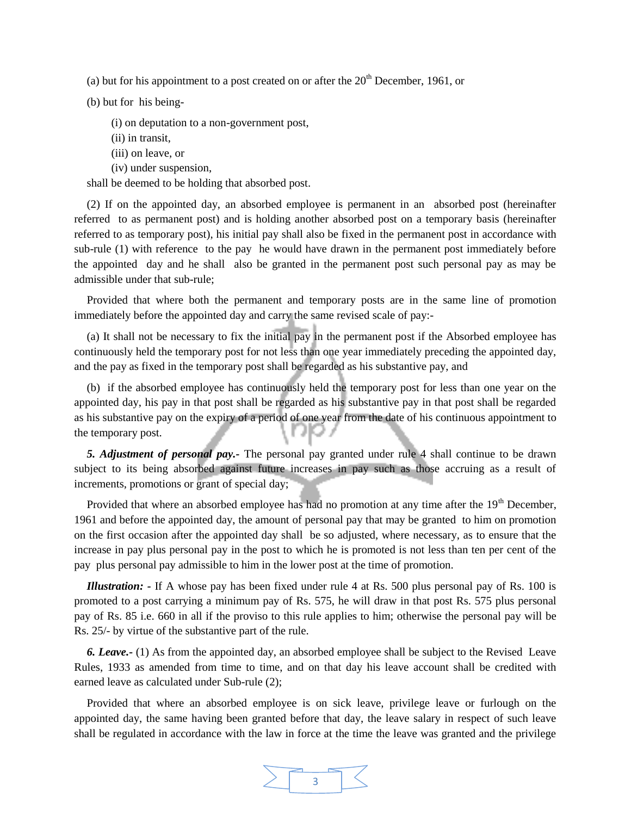(a) but for his appointment to a post created on or after the  $20<sup>th</sup>$  December, 1961, or

(b) but for his being-

- (i) on deputation to a non-government post,
- (ii) in transit,
- (iii) on leave, or
- (iv) under suspension,

shall be deemed to be holding that absorbed post.

(2) If on the appointed day, an absorbed employee is permanent in an absorbed post (hereinafter referred to as permanent post) and is holding another absorbed post on a temporary basis (hereinafter referred to as temporary post), his initial pay shall also be fixed in the permanent post in accordance with sub-rule (1) with reference to the pay he would have drawn in the permanent post immediately before the appointed day and he shall also be granted in the permanent post such personal pay as may be admissible under that sub-rule;

Provided that where both the permanent and temporary posts are in the same line of promotion immediately before the appointed day and carry the same revised scale of pay:-

(a) It shall not be necessary to fix the initial pay in the permanent post if the Absorbed employee has continuously held the temporary post for not less than one year immediately preceding the appointed day, and the pay as fixed in the temporary post shall be regarded as his substantive pay, and

(b) if the absorbed employee has continuously held the temporary post for less than one year on the appointed day, his pay in that post shall be regarded as his substantive pay in that post shall be regarded as his substantive pay on the expiry of a period of one year from the date of his continuous appointment to JKJ A the temporary post.

*5. Adjustment of personal pay.-* The personal pay granted under rule 4 shall continue to be drawn subject to its being absorbed against future increases in pay such as those accruing as a result of increments, promotions or grant of special day;

Provided that where an absorbed employee has had no promotion at any time after the  $19<sup>th</sup>$  December, 1961 and before the appointed day, the amount of personal pay that may be granted to him on promotion on the first occasion after the appointed day shall be so adjusted, where necessary, as to ensure that the increase in pay plus personal pay in the post to which he is promoted is not less than ten per cent of the pay plus personal pay admissible to him in the lower post at the time of promotion.

*Illustration: -* If A whose pay has been fixed under rule 4 at Rs. 500 plus personal pay of Rs. 100 is promoted to a post carrying a minimum pay of Rs. 575, he will draw in that post Rs. 575 plus personal pay of Rs. 85 i.e. 660 in all if the proviso to this rule applies to him; otherwise the personal pay will be Rs. 25/- by virtue of the substantive part of the rule.

*6. Leave.-* (1) As from the appointed day, an absorbed employee shall be subject to the Revised Leave Rules, 1933 as amended from time to time, and on that day his leave account shall be credited with earned leave as calculated under Sub-rule (2);

Provided that where an absorbed employee is on sick leave, privilege leave or furlough on the appointed day, the same having been granted before that day, the leave salary in respect of such leave shall be regulated in accordance with the law in force at the time the leave was granted and the privilege

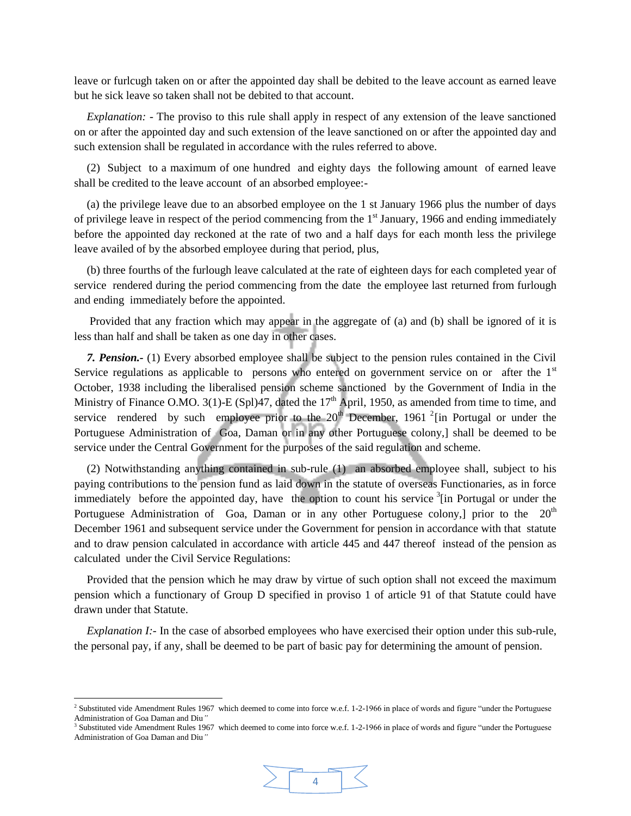leave or furlcugh taken on or after the appointed day shall be debited to the leave account as earned leave but he sick leave so taken shall not be debited to that account.

*Explanation: -* The proviso to this rule shall apply in respect of any extension of the leave sanctioned on or after the appointed day and such extension of the leave sanctioned on or after the appointed day and such extension shall be regulated in accordance with the rules referred to above.

(2) Subject to a maximum of one hundred and eighty days the following amount of earned leave shall be credited to the leave account of an absorbed employee:-

(a) the privilege leave due to an absorbed employee on the 1 st January 1966 plus the number of days of privilege leave in respect of the period commencing from the 1<sup>st</sup> January, 1966 and ending immediately before the appointed day reckoned at the rate of two and a half days for each month less the privilege leave availed of by the absorbed employee during that period, plus,

(b) three fourths of the furlough leave calculated at the rate of eighteen days for each completed year of service rendered during the period commencing from the date the employee last returned from furlough and ending immediately before the appointed.

Provided that any fraction which may appear in the aggregate of (a) and (b) shall be ignored of it is less than half and shall be taken as one day in other cases.

*7. Pension.-* (1) Every absorbed employee shall be subject to the pension rules contained in the Civil Service regulations as applicable to persons who entered on government service on or after the  $1<sup>st</sup>$ October, 1938 including the liberalised pension scheme sanctioned by the Government of India in the Ministry of Finance O.MO. 3(1)-E (Spl)47, dated the  $17<sup>th</sup>$  April, 1950, as amended from time to time, and service rendered by such employee prior to the  $20<sup>th</sup>$  December, 1961<sup>2</sup> [in Portugal or under the Portuguese Administration of Goa, Daman or in any other Portuguese colony,] shall be deemed to be service under the Central Government for the purposes of the said regulation and scheme.

(2) Notwithstanding anything contained in sub-rule (1) an absorbed employee shall, subject to his paying contributions to the pension fund as laid down in the statute of overseas Functionaries, as in force immediately before the appointed day, have the option to count his service <sup>3</sup>[in Portugal or under the Portuguese Administration of Goa, Daman or in any other Portuguese colony, prior to the  $20<sup>th</sup>$ December 1961 and subsequent service under the Government for pension in accordance with that statute and to draw pension calculated in accordance with article 445 and 447 thereof instead of the pension as calculated under the Civil Service Regulations:

Provided that the pension which he may draw by virtue of such option shall not exceed the maximum pension which a functionary of Group D specified in proviso 1 of article 91 of that Statute could have drawn under that Statute.

*Explanation I:*-In the case of absorbed employees who have exercised their option under this sub-rule, the personal pay, if any, shall be deemed to be part of basic pay for determining the amount of pension.

<sup>&</sup>lt;sup>3</sup> Substituted vide Amendment Rules 1967 which deemed to come into force w.e.f. 1-2-1966 in place of words and figure "under the Portuguese Administration of Goa Daman and Diu*"*



 2 Substituted vide Amendment Rules 1967 which deemed to come into force w.e.f. 1-2-1966 in place of words and figure "under the Portuguese Administration of Goa Daman and Diu*"*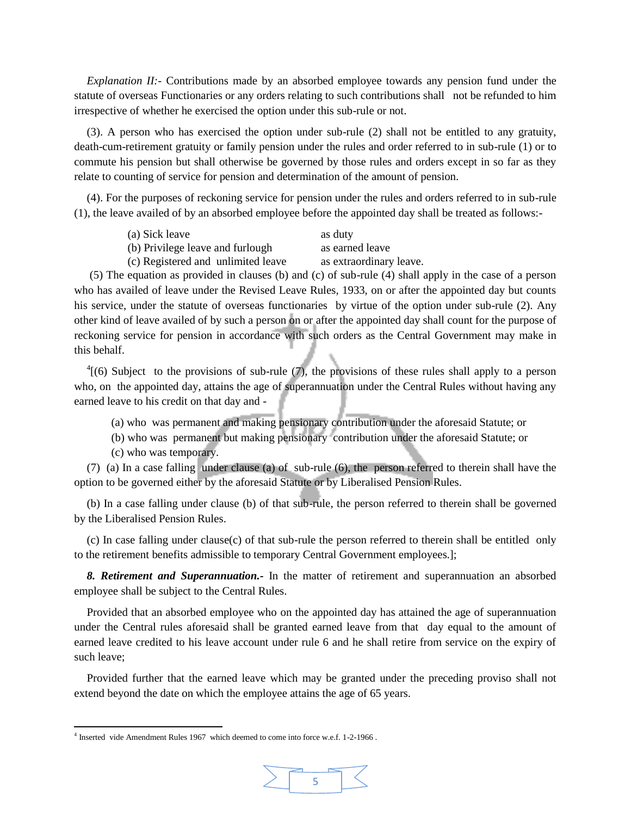*Explanation II:-* Contributions made by an absorbed employee towards any pension fund under the statute of overseas Functionaries or any orders relating to such contributions shall not be refunded to him irrespective of whether he exercised the option under this sub-rule or not.

(3). A person who has exercised the option under sub-rule (2) shall not be entitled to any gratuity, death-cum-retirement gratuity or family pension under the rules and order referred to in sub-rule (1) or to commute his pension but shall otherwise be governed by those rules and orders except in so far as they relate to counting of service for pension and determination of the amount of pension.

(4). For the purposes of reckoning service for pension under the rules and orders referred to in sub-rule (1), the leave availed of by an absorbed employee before the appointed day shall be treated as follows:-

| (a) Sick leave                     | as duty                 |
|------------------------------------|-------------------------|
| (b) Privilege leave and furlough   | as earned leave         |
| (c) Registered and unlimited leave | as extraordinary leave. |

(5) The equation as provided in clauses (b) and (c) of sub-rule (4) shall apply in the case of a person who has availed of leave under the Revised Leave Rules, 1933, on or after the appointed day but counts his service, under the statute of overseas functionaries by virtue of the option under sub-rule (2). Any other kind of leave availed of by such a person on or after the appointed day shall count for the purpose of reckoning service for pension in accordance with such orders as the Central Government may make in this behalf.

 $^{4}$ [(6) Subject to the provisions of sub-rule (7), the provisions of these rules shall apply to a person who, on the appointed day, attains the age of superannuation under the Central Rules without having any earned leave to his credit on that day and -

(a) who was permanent and making pensionary contribution under the aforesaid Statute; or

(b) who was permanent but making pensionary contribution under the aforesaid Statute; or

(c) who was temporary.

 $\overline{\phantom{a}}$ 

(7) (a) In a case falling under clause (a) of sub-rule (6), the person referred to therein shall have the option to be governed either by the aforesaid Statute or by Liberalised Pension Rules.

(b) In a case falling under clause (b) of that sub-rule, the person referred to therein shall be governed by the Liberalised Pension Rules.

(c) In case falling under clause(c) of that sub-rule the person referred to therein shall be entitled only to the retirement benefits admissible to temporary Central Government employees.];

*8. Retirement and Superannuation.-* In the matter of retirement and superannuation an absorbed employee shall be subject to the Central Rules.

Provided that an absorbed employee who on the appointed day has attained the age of superannuation under the Central rules aforesaid shall be granted earned leave from that day equal to the amount of earned leave credited to his leave account under rule 6 and he shall retire from service on the expiry of such leave;

Provided further that the earned leave which may be granted under the preceding proviso shall not extend beyond the date on which the employee attains the age of 65 years.

<sup>&</sup>lt;sup>4</sup> Inserted vide Amendment Rules 1967 which deemed to come into force w.e.f. 1-2-1966.

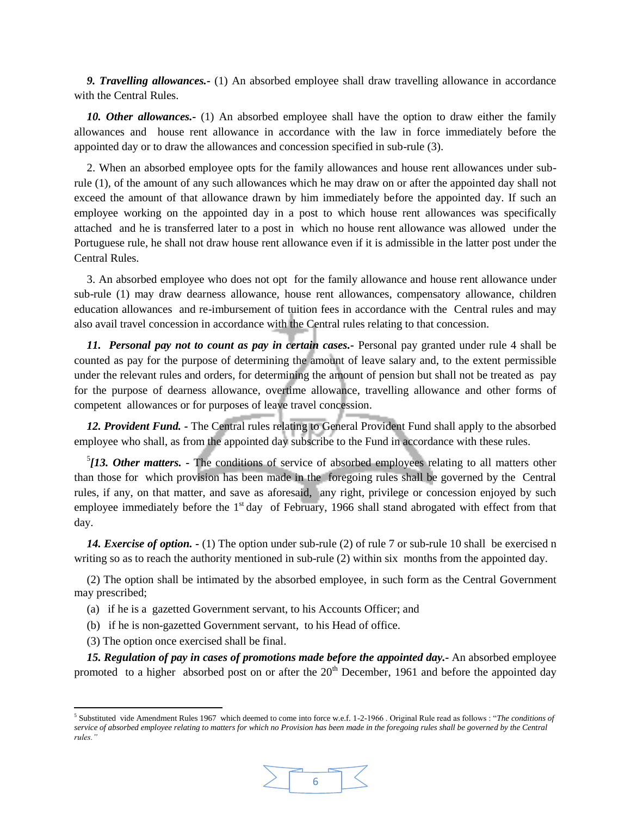*9. Travelling allowances.-* (1) An absorbed employee shall draw travelling allowance in accordance with the Central Rules.

*10. Other allowances.-* (1) An absorbed employee shall have the option to draw either the family allowances and house rent allowance in accordance with the law in force immediately before the appointed day or to draw the allowances and concession specified in sub-rule (3).

2. When an absorbed employee opts for the family allowances and house rent allowances under subrule (1), of the amount of any such allowances which he may draw on or after the appointed day shall not exceed the amount of that allowance drawn by him immediately before the appointed day. If such an employee working on the appointed day in a post to which house rent allowances was specifically attached and he is transferred later to a post in which no house rent allowance was allowed under the Portuguese rule, he shall not draw house rent allowance even if it is admissible in the latter post under the Central Rules.

3. An absorbed employee who does not opt for the family allowance and house rent allowance under sub-rule (1) may draw dearness allowance, house rent allowances, compensatory allowance, children education allowances and re-imbursement of tuition fees in accordance with the Central rules and may also avail travel concession in accordance with the Central rules relating to that concession.

*11. Personal pay not to count as pay in certain cases.-* Personal pay granted under rule 4 shall be counted as pay for the purpose of determining the amount of leave salary and, to the extent permissible under the relevant rules and orders, for determining the amount of pension but shall not be treated as pay for the purpose of dearness allowance, overtime allowance, travelling allowance and other forms of competent allowances or for purposes of leave travel concession.

*12. Provident Fund. -* The Central rules relating to General Provident Fund shall apply to the absorbed employee who shall, as from the appointed day subscribe to the Fund in accordance with these rules.

<sup>5</sup>[13. Other matters. - The conditions of service of absorbed employees relating to all matters other than those for which provision has been made in the foregoing rules shall be governed by the Central rules, if any, on that matter, and save as aforesaid, any right, privilege or concession enjoyed by such employee immediately before the 1<sup>st</sup> day of February, 1966 shall stand abrogated with effect from that day.

*14. Exercise of option. -* (1) The option under sub-rule (2) of rule 7 or sub-rule 10 shall be exercised n writing so as to reach the authority mentioned in sub-rule (2) within six months from the appointed day.

(2) The option shall be intimated by the absorbed employee, in such form as the Central Government may prescribed;

- (a) if he is a gazetted Government servant, to his Accounts Officer; and
- (b) if he is non-gazetted Government servant, to his Head of office.
- (3) The option once exercised shall be final.

 $\overline{\phantom{a}}$ 

*15. Regulation of pay in cases of promotions made before the appointed day.-* An absorbed employee promoted to a higher absorbed post on or after the  $20<sup>th</sup>$  December, 1961 and before the appointed day

<sup>5</sup> Substituted vide Amendment Rules 1967 which deemed to come into force w.e.f. 1-2-1966 . Original Rule read as follows : "*The conditions of service of absorbed employee relating to matters for which no Provision has been made in the foregoing rules shall be governed by the Central rules."*

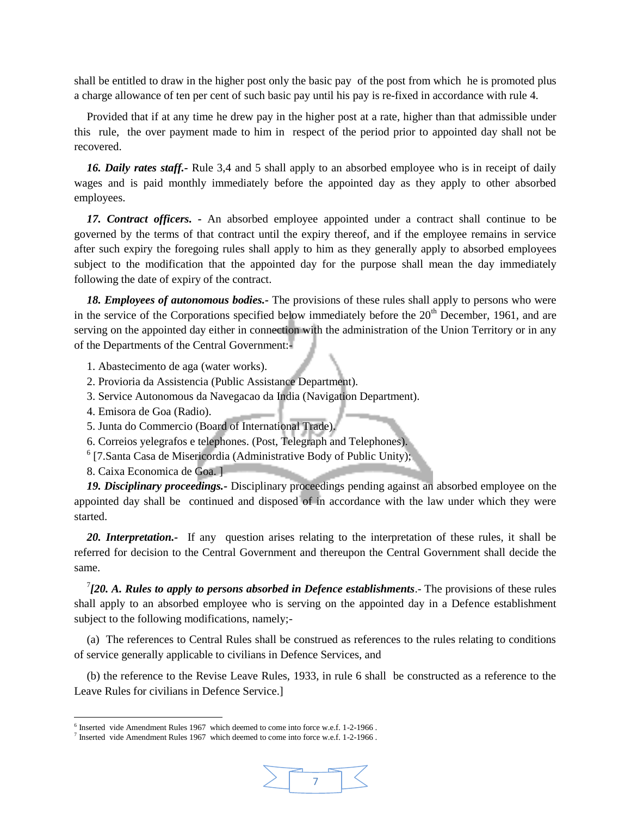shall be entitled to draw in the higher post only the basic pay of the post from which he is promoted plus a charge allowance of ten per cent of such basic pay until his pay is re-fixed in accordance with rule 4.

Provided that if at any time he drew pay in the higher post at a rate, higher than that admissible under this rule, the over payment made to him in respect of the period prior to appointed day shall not be recovered.

*16. Daily rates staff.-* Rule 3,4 and 5 shall apply to an absorbed employee who is in receipt of daily wages and is paid monthly immediately before the appointed day as they apply to other absorbed employees.

*17. Contract officers. -* An absorbed employee appointed under a contract shall continue to be governed by the terms of that contract until the expiry thereof, and if the employee remains in service after such expiry the foregoing rules shall apply to him as they generally apply to absorbed employees subject to the modification that the appointed day for the purpose shall mean the day immediately following the date of expiry of the contract.

*18. Employees of autonomous bodies.-* The provisions of these rules shall apply to persons who were in the service of the Corporations specified below immediately before the  $20<sup>th</sup>$  December, 1961, and are serving on the appointed day either in connection with the administration of the Union Territory or in any of the Departments of the Central Government:-

1. Abastecimento de aga (water works).

- 2. Provioria da Assistencia (Public Assistance Department).
- 3. Service Autonomous da Navegacao da India (Navigation Department).
- 4. Emisora de Goa (Radio).
- 5. Junta do Commercio (Board of International Trade).
- 6. Correios yelegrafos e telephones. (Post, Telegraph and Telephones).
- <sup>6</sup> [7.Santa Casa de Misericordia (Administrative Body of Public Unity);
- 8. Caixa Economica de Goa. ]

l

*19. Disciplinary proceedings.-* Disciplinary proceedings pending against an absorbed employee on the appointed day shall be continued and disposed of in accordance with the law under which they were started.

*20. Interpretation.-* If any question arises relating to the interpretation of these rules, it shall be referred for decision to the Central Government and thereupon the Central Government shall decide the same.

 $7/20$ . A. Rules to apply to persons absorbed in Defence establishments.- The provisions of these rules shall apply to an absorbed employee who is serving on the appointed day in a Defence establishment subject to the following modifications, namely;-

(a) The references to Central Rules shall be construed as references to the rules relating to conditions of service generally applicable to civilians in Defence Services, and

(b) the reference to the Revise Leave Rules, 1933, in rule 6 shall be constructed as a reference to the Leave Rules for civilians in Defence Service.]

7

<sup>&</sup>lt;sup>6</sup> Inserted vide Amendment Rules 1967 which deemed to come into force w.e.f. 1-2-1966.

<sup>&</sup>lt;sup>7</sup> Inserted vide Amendment Rules 1967 which deemed to come into force w.e.f. 1-2-1966.